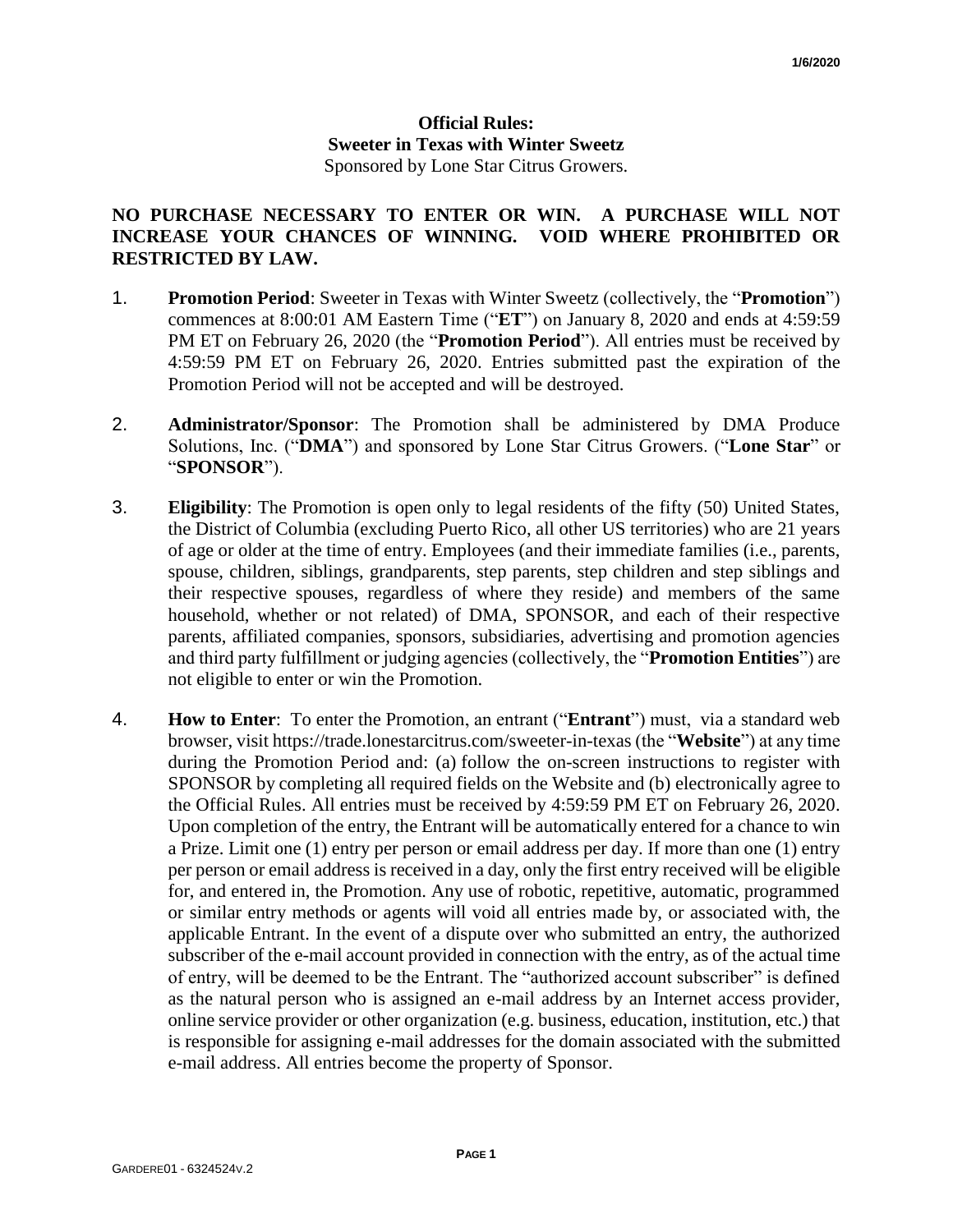## **Official Rules: Sweeter in Texas with Winter Sweetz** Sponsored by Lone Star Citrus Growers.

## **NO PURCHASE NECESSARY TO ENTER OR WIN. A PURCHASE WILL NOT INCREASE YOUR CHANCES OF WINNING. VOID WHERE PROHIBITED OR RESTRICTED BY LAW.**

- 1. **Promotion Period**: Sweeter in Texas with Winter Sweetz (collectively, the "**Promotion**") commences at 8:00:01 AM Eastern Time ("**ET**") on January 8, 2020 and ends at 4:59:59 PM ET on February 26, 2020 (the "**Promotion Period**"). All entries must be received by 4:59:59 PM ET on February 26, 2020. Entries submitted past the expiration of the Promotion Period will not be accepted and will be destroyed.
- 2. **Administrator/Sponsor**: The Promotion shall be administered by DMA Produce Solutions, Inc. ("**DMA**") and sponsored by Lone Star Citrus Growers. ("**Lone Star**" or "**SPONSOR**").
- 3. **Eligibility**: The Promotion is open only to legal residents of the fifty (50) United States, the District of Columbia (excluding Puerto Rico, all other US territories) who are 21 years of age or older at the time of entry. Employees (and their immediate families (i.e., parents, spouse, children, siblings, grandparents, step parents, step children and step siblings and their respective spouses, regardless of where they reside) and members of the same household, whether or not related) of DMA, SPONSOR, and each of their respective parents, affiliated companies, sponsors, subsidiaries, advertising and promotion agencies and third party fulfillment or judging agencies (collectively, the "**Promotion Entities**") are not eligible to enter or win the Promotion.
- 4. **How to Enter**: To enter the Promotion, an entrant ("**Entrant**") must, via a standard web browser, visit https://trade.lonestarcitrus.com/sweeter-in-texas (the "**Website**") at any time during the Promotion Period and: (a) follow the on-screen instructions to register with SPONSOR by completing all required fields on the Website and (b) electronically agree to the Official Rules. All entries must be received by 4:59:59 PM ET on February 26, 2020. Upon completion of the entry, the Entrant will be automatically entered for a chance to win a Prize. Limit one (1) entry per person or email address per day. If more than one (1) entry per person or email address is received in a day, only the first entry received will be eligible for, and entered in, the Promotion. Any use of robotic, repetitive, automatic, programmed or similar entry methods or agents will void all entries made by, or associated with, the applicable Entrant. In the event of a dispute over who submitted an entry, the authorized subscriber of the e-mail account provided in connection with the entry, as of the actual time of entry, will be deemed to be the Entrant. The "authorized account subscriber" is defined as the natural person who is assigned an e-mail address by an Internet access provider, online service provider or other organization (e.g. business, education, institution, etc.) that is responsible for assigning e-mail addresses for the domain associated with the submitted e-mail address. All entries become the property of Sponsor.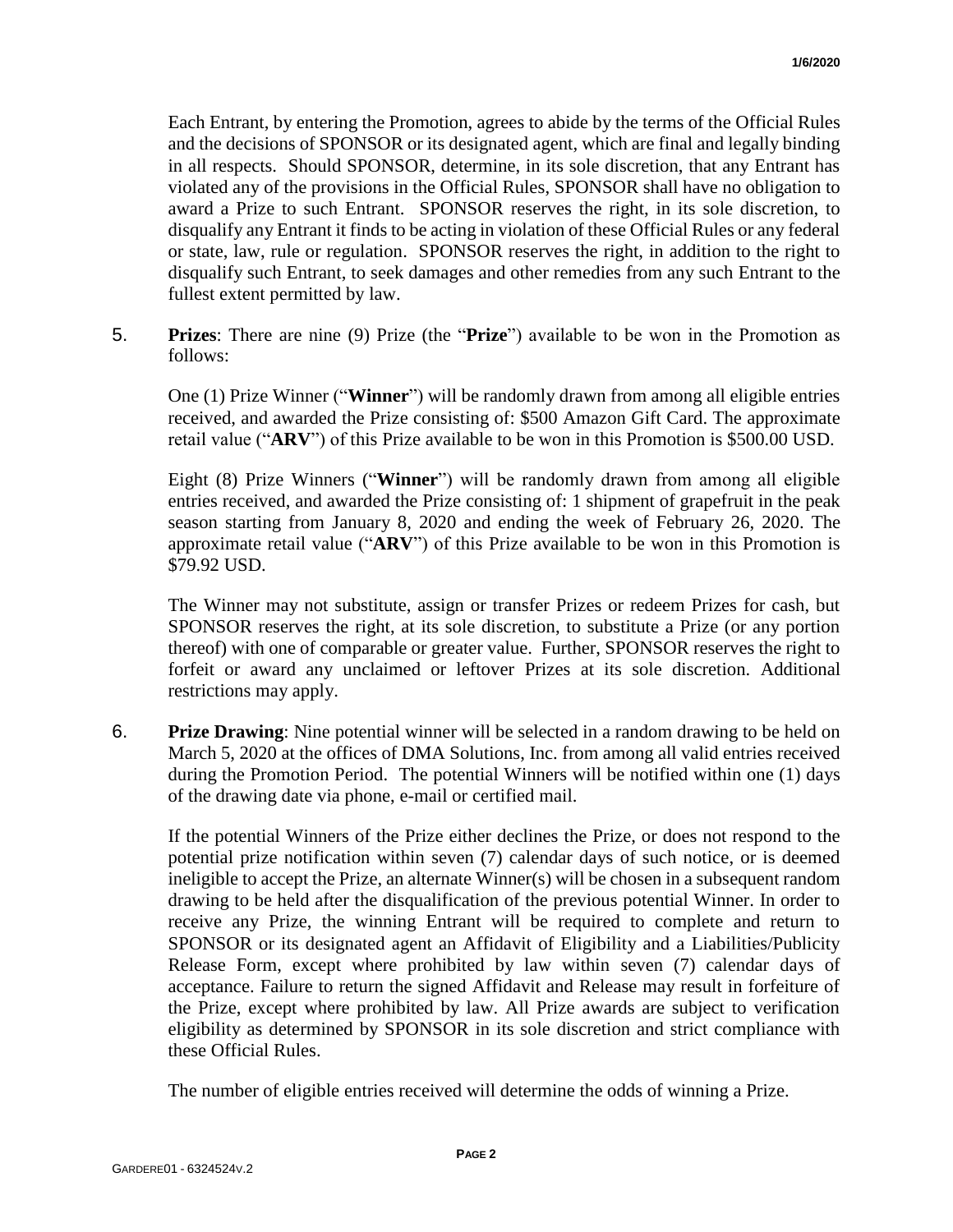Each Entrant, by entering the Promotion, agrees to abide by the terms of the Official Rules and the decisions of SPONSOR or its designated agent, which are final and legally binding in all respects. Should SPONSOR, determine, in its sole discretion, that any Entrant has violated any of the provisions in the Official Rules, SPONSOR shall have no obligation to award a Prize to such Entrant. SPONSOR reserves the right, in its sole discretion, to disqualify any Entrant it finds to be acting in violation of these Official Rules or any federal or state, law, rule or regulation. SPONSOR reserves the right, in addition to the right to disqualify such Entrant, to seek damages and other remedies from any such Entrant to the fullest extent permitted by law.

5. **Prizes**: There are nine (9) Prize (the "**Prize**") available to be won in the Promotion as follows:

One (1) Prize Winner ("**Winner**") will be randomly drawn from among all eligible entries received, and awarded the Prize consisting of: \$500 Amazon Gift Card. The approximate retail value ("**ARV**") of this Prize available to be won in this Promotion is \$500.00 USD.

Eight (8) Prize Winners ("**Winner**") will be randomly drawn from among all eligible entries received, and awarded the Prize consisting of: 1 shipment of grapefruit in the peak season starting from January 8, 2020 and ending the week of February 26, 2020. The approximate retail value ("**ARV**") of this Prize available to be won in this Promotion is \$79.92 USD.

The Winner may not substitute, assign or transfer Prizes or redeem Prizes for cash, but SPONSOR reserves the right, at its sole discretion, to substitute a Prize (or any portion thereof) with one of comparable or greater value. Further, SPONSOR reserves the right to forfeit or award any unclaimed or leftover Prizes at its sole discretion. Additional restrictions may apply.

6. **Prize Drawing**: Nine potential winner will be selected in a random drawing to be held on March 5, 2020 at the offices of DMA Solutions, Inc. from among all valid entries received during the Promotion Period. The potential Winners will be notified within one (1) days of the drawing date via phone, e-mail or certified mail.

If the potential Winners of the Prize either declines the Prize, or does not respond to the potential prize notification within seven (7) calendar days of such notice, or is deemed ineligible to accept the Prize, an alternate Winner(s) will be chosen in a subsequent random drawing to be held after the disqualification of the previous potential Winner. In order to receive any Prize, the winning Entrant will be required to complete and return to SPONSOR or its designated agent an Affidavit of Eligibility and a Liabilities/Publicity Release Form, except where prohibited by law within seven (7) calendar days of acceptance. Failure to return the signed Affidavit and Release may result in forfeiture of the Prize, except where prohibited by law. All Prize awards are subject to verification eligibility as determined by SPONSOR in its sole discretion and strict compliance with these Official Rules.

The number of eligible entries received will determine the odds of winning a Prize.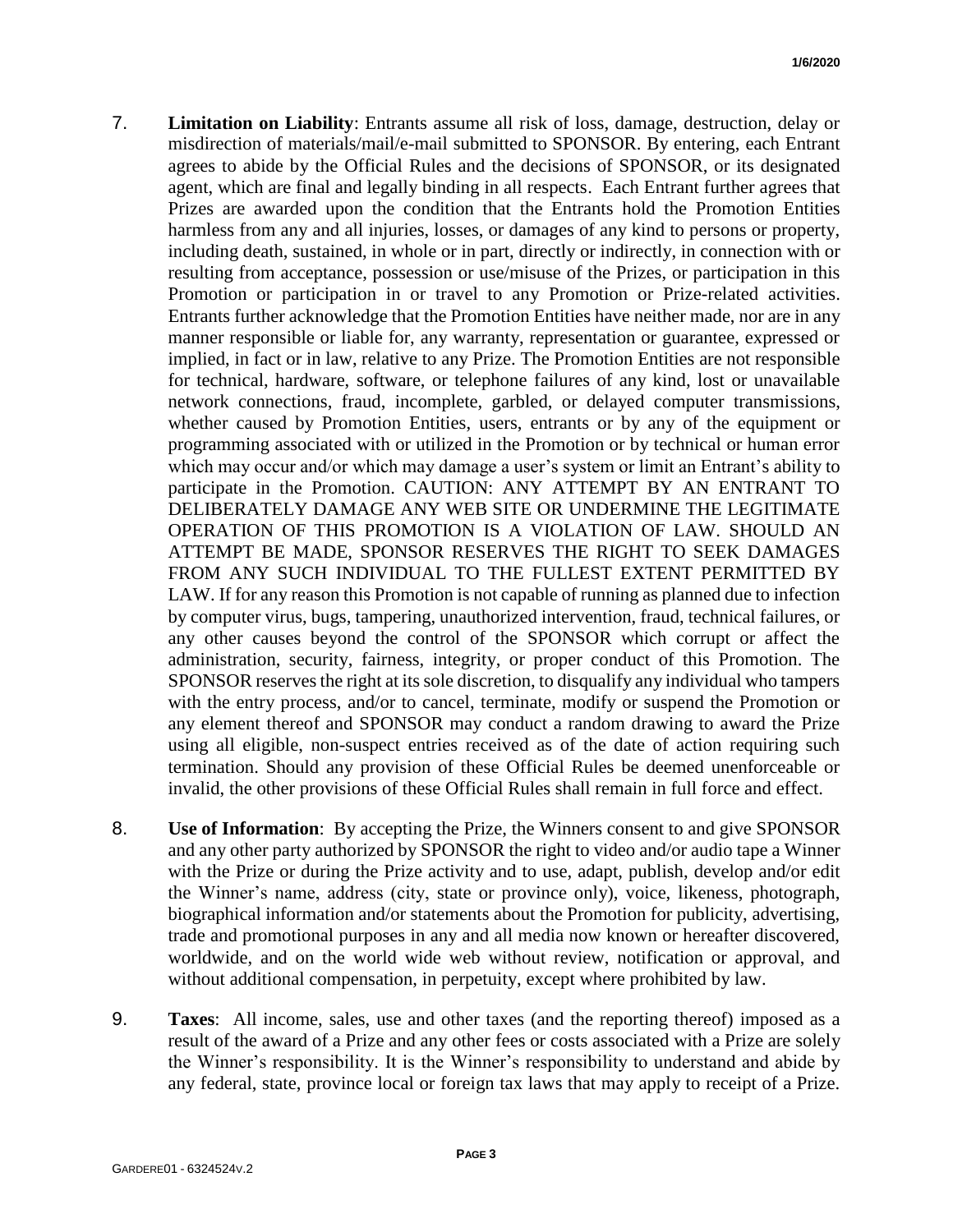- 7. **Limitation on Liability**: Entrants assume all risk of loss, damage, destruction, delay or misdirection of materials/mail/e-mail submitted to SPONSOR. By entering, each Entrant agrees to abide by the Official Rules and the decisions of SPONSOR, or its designated agent, which are final and legally binding in all respects. Each Entrant further agrees that Prizes are awarded upon the condition that the Entrants hold the Promotion Entities harmless from any and all injuries, losses, or damages of any kind to persons or property, including death, sustained, in whole or in part, directly or indirectly, in connection with or resulting from acceptance, possession or use/misuse of the Prizes, or participation in this Promotion or participation in or travel to any Promotion or Prize-related activities. Entrants further acknowledge that the Promotion Entities have neither made, nor are in any manner responsible or liable for, any warranty, representation or guarantee, expressed or implied, in fact or in law, relative to any Prize. The Promotion Entities are not responsible for technical, hardware, software, or telephone failures of any kind, lost or unavailable network connections, fraud, incomplete, garbled, or delayed computer transmissions, whether caused by Promotion Entities, users, entrants or by any of the equipment or programming associated with or utilized in the Promotion or by technical or human error which may occur and/or which may damage a user's system or limit an Entrant's ability to participate in the Promotion. CAUTION: ANY ATTEMPT BY AN ENTRANT TO DELIBERATELY DAMAGE ANY WEB SITE OR UNDERMINE THE LEGITIMATE OPERATION OF THIS PROMOTION IS A VIOLATION OF LAW. SHOULD AN ATTEMPT BE MADE, SPONSOR RESERVES THE RIGHT TO SEEK DAMAGES FROM ANY SUCH INDIVIDUAL TO THE FULLEST EXTENT PERMITTED BY LAW. If for any reason this Promotion is not capable of running as planned due to infection by computer virus, bugs, tampering, unauthorized intervention, fraud, technical failures, or any other causes beyond the control of the SPONSOR which corrupt or affect the administration, security, fairness, integrity, or proper conduct of this Promotion. The SPONSOR reserves the right at its sole discretion, to disqualify any individual who tampers with the entry process, and/or to cancel, terminate, modify or suspend the Promotion or any element thereof and SPONSOR may conduct a random drawing to award the Prize using all eligible, non-suspect entries received as of the date of action requiring such termination. Should any provision of these Official Rules be deemed unenforceable or invalid, the other provisions of these Official Rules shall remain in full force and effect.
- 8. **Use of Information**: By accepting the Prize, the Winners consent to and give SPONSOR and any other party authorized by SPONSOR the right to video and/or audio tape a Winner with the Prize or during the Prize activity and to use, adapt, publish, develop and/or edit the Winner's name, address (city, state or province only), voice, likeness, photograph, biographical information and/or statements about the Promotion for publicity, advertising, trade and promotional purposes in any and all media now known or hereafter discovered, worldwide, and on the world wide web without review, notification or approval, and without additional compensation, in perpetuity, except where prohibited by law.
- 9. **Taxes**: All income, sales, use and other taxes (and the reporting thereof) imposed as a result of the award of a Prize and any other fees or costs associated with a Prize are solely the Winner's responsibility. It is the Winner's responsibility to understand and abide by any federal, state, province local or foreign tax laws that may apply to receipt of a Prize.